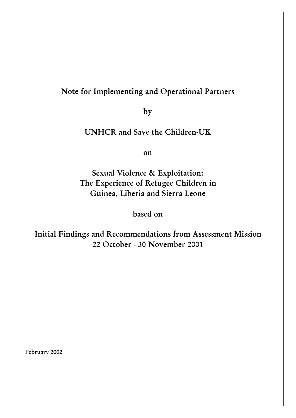# **Note for Implementing and Operational Partners**

**by**

# **UNHCR and Save the Children-UK**

**on**

**Sexual Violence & Exploitation: The Experience of Refugee Children in Guinea, Liberia and Sierra Leone**

**based on**

**Initial Findings and Recommendations from Assessment Mission 22 October - 30 November 2001**

**February 2002**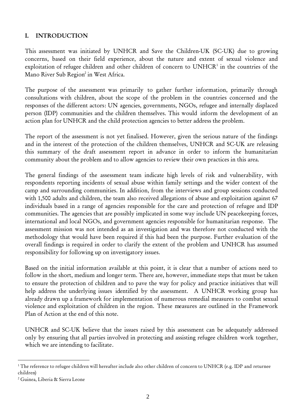## **I. INTRODUCTION**

This assessment was initiated by UNHCR and Save the Children-UK (SC-UK) due to growing concerns, based on their field experience, about the nature and extent of sexual violence and exploitation of refugee children and other children of concern to  $UNHCR<sup>1</sup>$  in the countries of the Mano River Sub Region<sup>2</sup> in West Africa.

The purpose of the assessment was primarily to gather further information, primarily through consultations with children, about the scope of the problem in the countries concerned and the responses of the different actors: UN agencies, governments, NGOs, refugee and internally displaced person (IDP) communities and the children themselves. This would inform the development of an action plan for UNHCR and the child protection agencies to better address the problem.

The report of the assessment is not yet finalised. However, given the serious nature of the findings and in the interest of the protection of the children themselves, UNHCR and SC-UK are releasing this summary of the draft assessment report in advance in order to inform the humanitarian community about the problem and to allow agencies to review their own practices in this area.

The general findings of the assessment team indicate high levels of risk and vulnerability, with respondents reporting incidents of sexual abuse within family settings and the wider context of the camp and surrounding communities. In addition, from the interviews and group sessions conducted with 1,500 adults and children, the team also received allegations of abuse and exploitation against 67 individuals based in a range of agencies responsible for the care and protection of refugee and IDP communities. The agencies that are possibly implicated in some way include UN peacekeeping forces, international and local NGOs, and government agencies responsible for humanitarian response. The assessment mission was not intended as an investigation and was therefore not conducted with the methodology that would have been required if this had been the purpose. Further evaluation of the overall findings is required in order to clarify the extent of the problem and UNHCR has assumed responsibility for following up on investigatory issues.

Based on the initial information available at this point, it is clear that a number of actions need to follow in the short, medium and longer term. There are, however, immediate steps that must be taken to ensure the protection of children and to pave the way for policy and practice initiatives that will help address the underlying issues identified by the assessment. A UNHCR working group has already drawn up a framework for implementation of numerous remedial measures to combat sexual violence and exploitation of children in the region. These measures are outlined in the Framework Plan of Action at the end of this note.

UNHCR and SC-UK believe that the issues raised by this assessment can be adequately addressed only by ensuring that all parties involved in protecting and assisting refugee children work together, which we are intending to facilitate.

l

<sup>&</sup>lt;sup>1</sup> The reference to refugee children will hereafter include also other children of concern to UNHCR (e.g. IDP and returnee children)

<sup>2</sup> Guinea, Liberia & Sierra Leone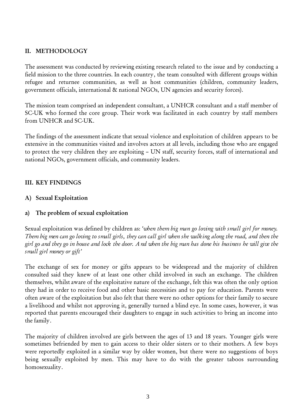## **II. METHODOLOGY**

The assessment was conducted by reviewing existing research related to the issue and by conducting a field mission to the three countries. In each country, the team consulted with different groups within refugee and returnee communities, as well as host communities (children, community leaders, government officials, international & national NGOs, UN agencies and security forces).

The mission team comprised an independent consultant, a UNHCR consultant and a staff member of SC-UK who formed the core group. Their work was facilitated in each country by staff members from UNHCR and SC-UK.

The findings of the assessment indicate that sexual violence and exploitation of children appears to be extensive in the communities visited and involves actors at all levels, including those who are engaged to protect the very children they are exploiting – UN staff, security forces, staff of international and national NGOs, government officials, and community leaders.

#### **III. KEY FINDINGS**

#### **A) Sexual Exploitation**

#### **a) The problem of sexual exploitation**

Sexual exploitation was defined by children as: *'when them big man go loving with small girl for money. Them big men can go loving to small girls, they can call girl when she walking along the road, and then the girl go and they go in house and lock the door. And when the big man has done his business he will give the small girl money or gift'*

The exchange of sex for money or gifts appears to be widespread and the majority of children consulted said they knew of at least one other child involved in such an exchange. The children themselves, whilst aware of the exploitative nature of the exchange, felt this was often the only option they had in order to receive food and other basic necessities and to pay for education. Parents were often aware of the exploitation but also felt that there were no other options for their family to secure a livelihood and whilst not approving it, generally turned a blind eye. In some cases, however, it was reported that parents encouraged their daughters to engage in such activities to bring an income into the family.

The majority of children involved are girls between the ages of 13 and 18 years. Younger girls were sometimes befriended by men to gain access to their older sisters or to their mothers. A few boys were reportedly exploited in a similar way by older women, but there were no suggestions of boys being sexually exploited by men. This may have to do with the greater taboos surrounding homosexuality.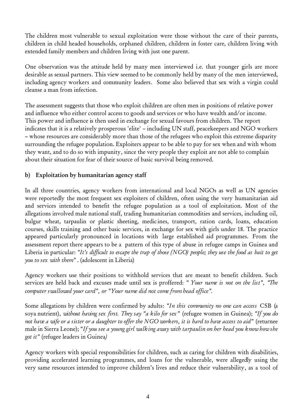The children most vulnerable to sexual exploitation were those without the care of their parents, children in child headed households, orphaned children, children in foster care, children living with extended family members and children living with just one parent.

One observation was the attitude held by many men interviewed i.e. that younger girls are more desirable as sexual partners. This view seemed to be commonly held by many of the men interviewed, including agency workers and community leaders. Some also believed that sex with a virgin could cleanse a man from infection.

The assessment suggests that those who exploit children are often men in positions of relative power and influence who either control access to goods and services or who have wealth and/or income. This power and influence is then used in exchange for sexual favours from children. The report indicates that it is a relatively prosperous 'elite' – including UN staff, peacekeepers and NGO workers – whose resources are considerably more than those of the refugees who exploit this extreme disparity surrounding the refugee population. Exploiters appear to be able to pay for sex when and with whom they want, and to do so with impunity, since the very people they exploit are not able to complain about their situation for fear of their source of basic survival being removed.

## **b) Exploitation by humanitarian agency staff**

In all three countries, agency workers from international and local NGOs as well as UN agencies were reportedly the most frequent sex exploiters of children, often using the very humanitarian aid and services intended to benefit the refugee population as a tool of exploitation. Most of the allegations involved male national staff, trading humanitarian commodities and services, including oil, bulgur wheat, tarpaulin or plastic sheeting, medic ines, transport, ration cards, loans, education courses, skills training and other basic services, in exchange for sex with girls under 18. The practice appeared particularly pronounced in locations with large established aid programmes. From the assessment report there appears to be a pattern of this type of abuse in refugee camps in Guinea and Liberia in particular: *"It's difficult to escape the trap of those (NGO) people; they use the food as bait to get you to sex with them" .* (adolescent in Liberia)

Agency workers use their positions to withhold services that are meant to benefit children. Such services are held back and excuses made until sex is proffered: *" Your name is not on the list", "The computer swallowed your card", or "Your name did not come from head office".*

Some allegations by children were confirmed by adults: *"In this community no one can access* CSB (a soya nutrient)*, without having sex first. They say "a kilo for sex"* (refugee women in Guinea); *"If you do not have a wife or a sister or a daughter to offer the NGO workers, it is hard to have access to aid"* (returnee male in Sierra Leone); "*If you see a young girl walking away with tarpaulin on her head you know how she got it"* (refugee leaders in Guinea*)*

Agency workers with special responsibilities for children, such as caring for children with disabilities, providing accelerated learning programmes, and loans for the vulnerable, were allegedly using the very same resources intended to improve children's lives and reduce their vulnerability, as a tool of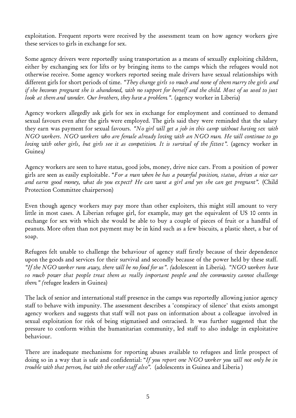exploitation. Frequent reports were received by the assessment team on how agency workers give these services to girls in exchange for sex.

Some agency drivers were reportedly using transportation as a means of sexually exploiting children, either by exchanging sex for lifts or by bringing items to the camps which the refugees would not otherwise receive. Some agency workers reported seeing male drivers have sexual relationships with different girls for short periods of time. *"They change girls so much and none of them marry the girls and if she becomes pregnant she is abandoned, with no support for herself and the child. Most of us used to just look at them and wonder. Our brothers, they have a problem.".* (agency worker in Liberia)

Agency workers allegedly ask girls for sex in exchange for employment and continued to demand sexual favours even after the girls were employed. The girls said they were reminded that the salary they earn was payment for sexual favours. *"No girl will get a job in this camp without having sex with NGO workers. NGO workers who are female already loving with an NGO man. He will continue to go loving with other girls, but girls see it as competition. It is survival of the fittest".* (agency worker in Guinea*)*

Agency workers are seen to have status, good jobs, money, drive nice cars. From a position of power girls are seen as easily exploitable. "*For a man when he has a powerful position, status, drives a nice car and earns good money, what do you expect? He can want a girl and yes she can get pregnant".* (Child Protection Committee chairperson)

Even though agency workers may pay more than other exploiters, this might still amount to very little in most cases. A Liberian refugee girl, for example, may get the equivalent of US 10 cents in exchange for sex with which she would be able to buy a couple of pieces of fruit or a handful of peanuts. More often than not payment may be in kind such as a few biscuits, a plastic sheet, a bar of soap.

Refugees felt unable to challenge the behaviour of agency staff firstly because of their dependence upon the goods and services for their survival and secondly because of the power held by these staff. *"If the NGO worker runs away, there will be no food for us". (*adolescent in Liberia)*. "NGO workers have so much power that people treat them as really important people and the community cannot challenge them." (*refugee leaders in Guinea)

The lack of senior and international staff presence in the camps was reportedly allowing junior agency staff to behave with impunity. The assessment describes a 'conspiracy of silence' that exists amongst agency workers and suggests that staff will not pass on information about a colleague involved in sexual exploitation for risk of being stigmatised and ostracised. It was further suggested that the pressure to conform within the humanitarian community, led staff to also indulge in exploitative behaviour.

There are inadequate mechanisms for reporting abuses available to refugees and little prospect of doing so in a way that is safe and confidential: "*If you report one NGO worker you will not only be in trouble with that person, but with the other staff also".* (adolescents in Guinea and Liberia )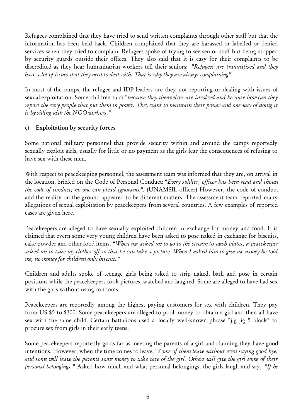Refugees complained that they have tried to send written complaints through other staff but that the information has been held back. Children complained that they are harassed or labelled or denied services when they tried to complain. Refugees spoke of trying to see senior staff but being stopped by security guards outside their offices. They also said that it is easy for their complaints to be discredited as they hear humanitarian workers tell their seniors: *"Refugees are traumatised and they have a lot of issues that they need to deal with. That is why they are always complaining".*

In most of the camps, the refugee and IDP leaders are they not reporting or dealing with issues of sexual exploitation. Some children said: "*because they themselves are involved and because how can they report the very people that put them in power. They want to maintain their power and one way of doing it is by siding with the NGO workers."*

### c) **Exploitation by security forces**

Some national military personnel that provide security within and around the camps reportedly sexually exploit girls, usually for little or no payment as the girls fear the consequences of refusing to have sex with these men.

With respect to peacekeeping personnel, the assessment team was informed that they are, on arrival in the location, briefed on the Code of Personal Conduct: "*Every soldier, officer has been read and shown the code of conduct; no one can plead ignorance".* (UNAMSIL officer) However, the code of conduct and the reality on the ground appeared to be different matters. The assessment team reported many allegations of sexual exploitation by peacekeepers from several countries. A few examples of reported cases are given here.

Peacekeepers are alleged to have sexually exploited children in exchange for money and food. It is claimed that evern some very young children have been asked to pose naked in exchange for biscuits, cake powder and other food items. "*When ma asked me to go to the stream to wash plates, a peacekeeper asked me to take my clothes off so that he can take a picture. When I asked him to give me money he told me, no money for children only biscuit."*

Children and adults spoke of teenage girls being asked to strip naked, bath and pose in certain positions while the peacekeepers took pictures, watched and laughed. Some are alleged to have had sex with the girls without using condoms.

Peacekeepers are reportedly among the highest paying customers for sex with children. They pay from US \$5 to \$300. Some peacekeepers are alleged to pool money to obtain a girl and then all have sex with the same child. Certain battalions used a locally well-known phrase "jig jig 5 block" to procure sex from girls in their early teens.

Some peacekeepers reportedly go as far as meeting the parents of a girl and claiming they have good intentions. However, when the time comes to leave, "*Some of them leave without even saying good bye, and some will leave the parents some money to take care of the girl. Others will give the girl some of their personal belongings."* Asked how much and what personal belongings, the girls laugh and say, *"If he*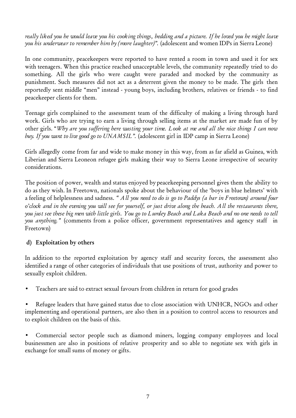*really liked you he would leave you his cooking things, bedding and a picture. If he loved you he might leave you his underwear to remember him by (more laughter)".* (adolescent and women IDPs in Sierra Leone)

In one community, peacekeepers were reported to have rented a room in town and used it for sex with teenagers. When this practice reached unacceptable levels, the community repeatedly tried to do something. All the girls who were caught were paraded and mocked by the community as punishment. Such measures did not act as a deterrent given the money to be made. The girls then reportedly sent middle "men" instead - young boys, including brothers, relatives or friends - to find peacekeeper clients for them.

Teenage girls complained to the assessment team of the difficulty of making a living through hard work. Girls who are trying to earn a living through selling items at the market are made fun of by other girls. "*Why are you suffering here wasting your time. Look at me and all the nice things I can now buy. If you want to live good go to UNAMSIL".* (adolescent girl in IDP camp in Sierra Leone)

Girls allegedly come from far and wide to make money in this way, from as far afield as Guinea, with Liberian and Sierra Leoneon refugee girls making their way to Sierra Leone irrespective of security considerations.

The position of power, wealth and status enjoyed by peacekeeping personnel gives them the ability to do as they wish. In Freetown, nationals spoke about the behaviour of the 'boys in blue helmets' with a feeling of helplessness and sadness. *" All you need to do is go to Paddys (a bar in Freetown) around four o'clock and in the evening you will see for yourself, or just drive along the beach. All the restaurants there, you just see these big men with little girls. You go to Lumley Beach and Laka Beach and no one needs to tell you anything."* (comments from a police officer, government representatives and agency staff in Freetown)

#### **d) Exploitation by others**

In addition to the reported exploitation by agency staff and security forces, the assessment also identified a range of other categories of individuals that use positions of trust, authority and power to sexually exploit children.

• Teachers are said to extract sexual favours from children in return for good grades

Refugee leaders that have gained status due to close association with UNHCR, NGOs and other implementing and operational partners, are also then in a position to control access to resources and to exploit children on the basis of this.

• Commercial sector people such as diamond miners, logging company employees and local businessmen are also in positions of relative prosperity and so able to negotiate sex with girls in exchange for small sums of money or gifts.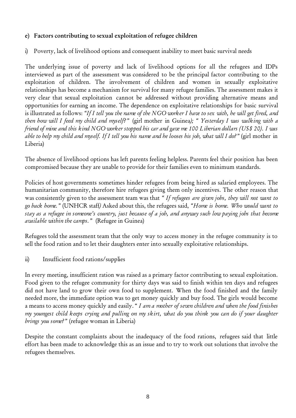## **e) Factors contributing to sexual exploitation of refugee children**

i) Poverty, lack of livelihood options and consequent inability to meet basic survival needs

The underlying issue of poverty and lack of livelihood options for all the refugees and IDPs interviewed as part of the assessment was considered to be the principal factor contributing to the exploitation of children. The involvement of children and women in sexually exploitative relationships has become a mechanism for survival for many refugee families. The assessment makes it very clear that sexual exploitation cannot be addressed without providing alternative means and opportunities for earning an income. The dependence on exploitative relationships for basic survival is illustrated as follows: *"If I tell you the name of the NGO worker I have to sex with, he will get fired, and then how will I feed my child and myself?"* (girl mother in Guinea*); " Yesterday I was walking with a friend of mine and this kind NGO worker stopped his car and gave me 100 Liberian dollars (US\$ 20). I was able to help my child and myself. If I tell you his name and he looses his job, what will I do?"* (girl mother in Liberia)

The absence of livelihood options has left parents feeling helpless. Parents feel their position has been compromised because they are unable to provide for their families even to minimum standards.

Policies of host governments sometimes hinder refugees from being hired as salaried employees. The humanitarian community, therefore hire refugees giving them only incentives. The other reason that was consistently given to the assessment team was that *" If refugees are given jobs, they will not want to go back home."* (UNHCR staff*)* Asked about this, the refugees said, *"Home is home. Who would want to stay as a refugee in someone's country, just because of a job, and anyway such low paying jobs that become available within the camps."* (Refugee in Guinea)

Refugees told the assessment team that the only way to access money in the refugee community is to sell the food ration and to let their daughters enter into sexually exploitative relationships.

ii) Insufficient food rations/supplies

In every meeting, insufficient ration was raised as a primary factor contributing to sexual exploitation. Food given to the refugee community for thirty days was said to finish within ten days and refugees did not have land to grow their own food to supplement. When the food finished and the family needed more, the immediate option was to get money quickly and buy food. The girls would become a means to access money quickly and easily. " *I am a mother of seven children and when the food finishes my youngest child keeps crying and pulling on my skirt, what do you think you can do if your daughter brings you some?"* (refugee woman in Liberia)

Despite the constant complaints about the inadequacy of the food rations, refugees said that little effort has been made to acknowledge this as an issue and to try to work out solutions that involve the refugees themselves.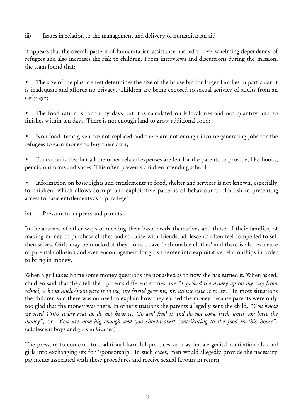## iii) Issues in relation to the management and delivery of humanitarian aid

It appears that the overall pattern of humanitarian assistance has led to overwhelming dependency of refugees and also increases the risk to children. From interviews and discussions during the mission, the team found that:

• The size of the plastic sheet determines the size of the house but for larger families in particular it is inadequate and affords no privacy. Children are being exposed to sexual activity of adults from an early age;

The food ration is for thirty days but it is calculated on kilocalories and not quantity and so finishes within ten days. There is not enough land to grow additional food;

• Non-food items given are not replaced and there are not enough income-generating jobs for the refugees to earn money to buy their own;

• Education is free but all the other related expenses are left for the parents to provide, like books, pencil, uniforms and shoes. This often prevents children attending school.

Information on basic rights and entitlements to food, shelter and services is not known, especially to children, which allows corrupt and exploitative patterns of behaviour to flourish in presenting access to basic entitlements as a 'privilege'

iv) Pressure from peers and parents

In the absence of other ways of meeting their basic needs themselves and those of their families, of making money to purchase clothes and socialise with friends, adolescents often feel compelled to sell themselves. Girls may be mocked if they do not have 'fashionable clothes' and there is also evidence of parental collusion and even encouragement for girls to enter into exploitative relationships in order to bring in money.

When a girl takes home some money questions are not asked as to how she has earned it. When asked, children said that they tell their parents different stories like *"I picked the money up on my way from school, a kind uncle/man gave it to me, my friend gave me, my auntie gave it to me."* In most situations the children said there was no need to explain how they earned the money because parents were only too glad that the money was there. In other situations the parents allegedly sent the child. *"You know we need 1500 today and we do not have it. Go and find it and do not come back until you have the money",* or *"You are now big enough and you should start contributing to the food in this house".* (adolescent boys and girls in Guinea)

The pressure to conform to traditional harmful practices such as female genital mutilation also led girls into exchanging sex for 'sponsorship'. In such cases, men would allegedly provide the necessary payments associated with these procedures and receive sexual favours in return.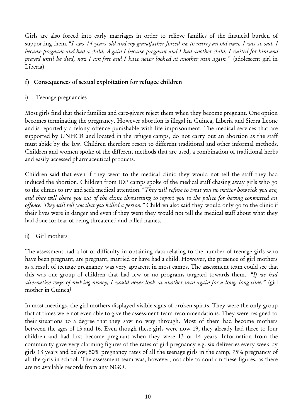Girls are also forced into early marriages in order to relieve families of the financial burden of supporting them. "*I was 14 years old and my grandfather forced me to marry an old man. I was so sad, I became pregnant and had a child. Again I became pregnant and I had another child. I waited for him and prayed until he died, now I am free and I have never looked at another man again."* (adolescent girl in Liberia)

## **f) Consequences of sexual exploitation for refugee children**

i) Teenage pregnancies

Most girls find that their families and care-givers reject them when they become pregnant. One option becomes terminating the pregnancy. However abortion is illegal in Guinea, Liberia and Sierra Leone and is reportedly a felony offence punishable with life imprisonment. The medical services that are supported by UNHCR and located in the refugee camps, do not carry out an abortion as the staff must abide by the law. Children therefore resort to different traditional and other informal methods. Children and women spoke of the different methods that are used, a combination of traditional herbs and easily accessed pharmaceutical products.

Children said that even if they went to the medical clinic they would not tell the staff they had induced the abortion. Children from IDP camps spoke of the medical staff chasing away girls who go to the clinics to try and seek medical attention. "*They will refuse to treat you no matter how sick you are, and they will chase you out of the clinic threatening to report you to the police for having committed an offence. They will tell you that you killed a person."* Children also said they would only go to the clinic if their lives were in danger and even if they went they would not tell the medical staff about what they had done for fear of being threatened and called names.

## ii) Girl mothers

The assessment had a lot of difficulty in obtaining data relating to the number of teenage girls who have been pregnant, are pregnant, married or have had a child. However, the presence of girl mothers as a result of teenage pregnancy was very apparent in most camps. The assessment team could see that this was one group of children that had few or no programs targeted towards them. *"If we had alternative ways of making money, I would never look at another man again for a long, long time."* (girl mother in Guinea*)*

In most meetings, the girl mothers displayed visible signs of broken spirits. They were the only group that at times were not even able to give the assessment team recommendations. They were resigned to their situations to a degree that they saw no way through. Most of them had become mothers between the ages of 13 and 16. Even though these girls were now 19, they already had three to four children and had first become pregnant when they were 13 or 14 years. Information from the community gave very alarming figures of the rates of girl pregnancy e.g. six deliveries every week by girls 18 years and below; 50% pregnancy rates of all the teenage girls in the camp; 75% pregnancy of all the girls in school. The assessment team was, however, not able to confirm these figures, as there are no available records from any NGO.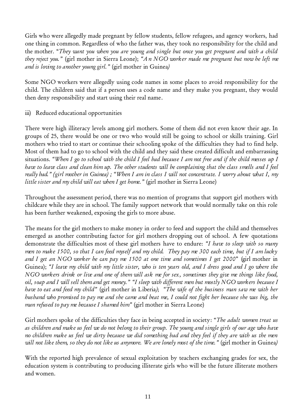Girls who were allegedly made pregnant by fellow students, fellow refugees, and agency workers, had one thing in common. Regardless of who the father was, they took no responsibility for the child and the mother. "*They want you when you are young and single but once you get pregnant and with a child they reject you."* (girl mother in Sierra Leone); *"An NGO worker made me pregnant but now he left me and is loving to another young girl."* (girl mother in Guinea*)*

Some NGO workers were allegedly using code names in some places to avoid responsibility for the child. The children said that if a person uses a code name and they make you pregnant, they would then deny responsibility and start using their real name.

iii) Reduced educational opportunities

There were high illiteracy levels among girl mothers. Some of them did not even know their age. In groups of 25, there would be one or two who would still be going to school or skills training. Girl mothers who tried to start or continue their schooling spoke of the difficulties they had to find help. Most of them had to go to school with the child and they said these created difficult and embarrassing situations. *"When I go to school with the child I feel bad because I am not free and if the child messes up I have to leave class and clean him up. The other students will be complaining that the class smells and I feel really bad." (girl mother in Guinea) ; "When I am in class I will not concentrate. I worry about what I, my little sister and my child will eat when I get home."* (girl mother in Sierra Leone)

Throughout the assessment period, there was no mention of programs that support girl mothers with childcare while they are in school. The family support network that would normally take on this role has been further weakened, exposing the girls to more abuse.

The means for the girl mothers to make money in order to feed and support the child and themselves emerged as another contributing factor for girl mothers dropping out of school. A few quotations demonstrate the difficulties most of these girl mothers have to endure: *"I have to sleep with so many men to make 1500, so that I can feed myself and my child. They pay me 300 each time, but if I am lucky and I get an NGO worker he can pay me 1500 at one time and sometimes I get 2000*" (girl mother in Guinea); *"I leave my child with my little sister, who is ten years old, and I dress good and I go where the NGO workers drink or live and one of them will ask me for sex, sometimes they give me things like food, oil, soap and I will sell them and get money." "I sleep with different men but mostly NGO workers because I have to eat and feed my child"* (girl mother in Liberia*)*; *"The wife of the business man saw me with her husband who promised to pay me and she came and beat me, I could not fight her because she was big, the man refused to pay me because I shamed him"* (girl mother in Sierra Leone)

Girl mothers spoke of the difficulties they face in being accepted in society: "*The adult women treat us as children and make us feel we do not belong to their group. The young and single girls of our age who have no children make us feel we dirty because we did something bad and they feel if they are with us the men will not like them, so they do not like us anymore. We are lonely most of the time."* (girl mother in Guinea*)*

With the reported high prevalence of sexual exploitation by teachers exchanging grades for sex, the education system is contributing to producing illiterate girls who will be the future illiterate mothers and women.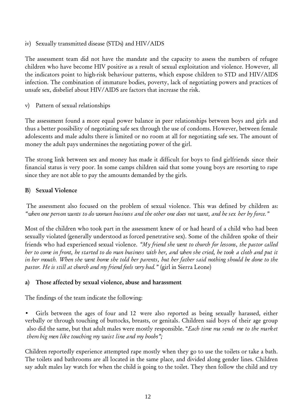iv) Sexually transmitted disease (STDs) and HIV/AIDS

The assessment team did not have the mandate and the capacity to assess the numbers of refugee children who have become HIV positive as a result of sexual exploitation and violence. However, all the indicators point to high-risk behaviour patterns, which expose children to STD and HIV/AIDS infection. The combination of immature bodies, poverty, lack of negotiating powers and practices of unsafe sex, disbelief about HIV/AIDS are factors that increase the risk.

v) Pattern of sexual relationships

The assessment found a more equal power balance in peer relationships between boys and girls and thus a better possibility of negotiating safe sex through the use of condoms. However, between female adolescents and male adults there is limited or no room at all for negotiating safe sex. The amount of money the adult pays undermines the negotiating power of the girl.

The strong link between sex and money has made it difficult for boys to find girlfriends since their financial status is very poor. In some camps children said that some young boys are resorting to rape since they are not able to pay the amounts demanded by the girls.

#### **B**) **Sexual Violence**

 The assessment also focused on the problem of sexual violence. This was defined by children as: *"when one person wants to do woman business and the other one does not want, and he sex her by force."*

Most of the children who took part in the assessment knew of or had heard of a child who had been sexually violated (generally understood as forced penetrative sex). Some of the children spoke of their friends who had experienced sexual violence. *"My friend she went to church for lessons, the pastor called her to come in front, he started to do man business with her, and when she cried, he took a cloth and put it in her mouth. When she went home she told her parents, but her father said nothing should be done to the pastor. He is still at church and my friend feels very bad."* (girl in Sierra Leone)

#### **a) Those affected by sexual violence, abuse and harassment**

The findings of the team indicate the following:

Girls between the ages of four and 12 were also reported as being sexually harassed, either verbally or through touching of buttocks, breasts, or genitals. Children said boys of their age group also did the same, but that adult males were mostly responsible. "*Each time ma sends me to the market them big men like touching my waist line and my boobs";*

Children reportedly experience attempted rape mostly when they go to use the toilets or take a bath. The toilets and bathrooms are all located in the same place, and divided along gender lines. Children say adult males lay watch for when the child is going to the toilet. They then follow the child and try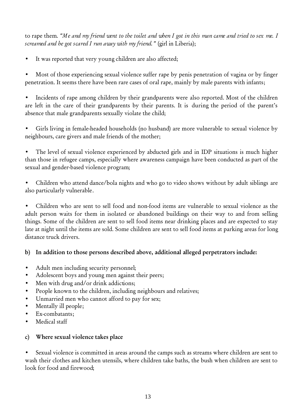to rape them. *"Me and my friend went to the toilet and when I got in this man came and tried to sex me. I screamed and he got scared I run away with my friend."* (girl in Liberia);

It was reported that very young children are also affected;

Most of those experiencing sexual violence suffer rape by penis penetration of vagina or by finger penetration. It seems there have been rare cases of oral rape, mainly by male parents with infants;

Incidents of rape among children by their grandparents were also reported. Most of the children are left in the care of their grandparents by their parents. It is during the period of the parent's absence that male grandparents sexually violate the child;

• Girls living in female-headed households (no husband) are more vulnerable to sexual violence by neighbours, care givers and male friends of the mother;

The level of sexual violence experienced by abducted girls and in IDP situations is much higher than those in refugee camps, especially where awareness campaign have been conducted as part of the sexual and gender-based violence program;

• Children who attend dance/bola nights and who go to video shows without by adult siblings are also particularly vulnerable.

• Children who are sent to sell food and non-food items are vulnerable to sexual violence as the adult person waits for them in isolated or abandoned buildings on their way to and from selling things. Some of the children are sent to sell food items near drinking places and are expected to stay late at night until the items are sold. Some children are sent to sell food items at parking areas for long distance truck drivers.

## **b) In addition to those persons described above, additional alleged perpetrators include:**

- Adult men including security personnel;
- Adolescent boys and young men against their peers;
- Men with drug and/or drink addictions;
- People known to the children, including neighbours and relatives;
- Unmarried men who cannot afford to pay for sex;
- Mentally ill people;
- Ex-combatants;
- Medical staff

#### **c) Where sexual violence takes place**

Sexual violence is committed in areas around the camps such as streams where children are sent to wash their clothes and kitchen utensils, where children take baths, the bush when children are sent to look for food and firewood;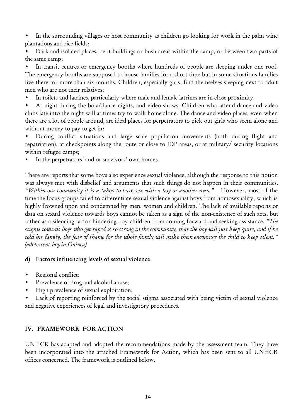• In the surrounding villages or host community as children go looking for work in the palm wine plantations and rice fields;

• Dark and isolated places, be it buildings or bush areas within the camp, or between two parts of the same camp;

In transit centres or emergency booths where hundreds of people are sleeping under one roof. The emergency booths are supposed to house families for a short time but in some situations families live there for more than six months. Children, especially girls, find themselves sleeping next to adult men who are not their relatives;

In toilets and latrines, particularly where male and female latrines are in close proximity.

• At night during the bola/dance nights, and video shows. Children who attend dance and video clubs late into the night will at times try to walk home alone. The dance and video places, even when there are a lot of people around, are ideal places for perpetrators to pick out girls who seem alone and without money to pay to get in;

• During conflict situations and large scale population movements (both during flight and repatriation), at checkpoints along the route or close to IDP areas, or at military/ security locations within refugee camps;

In the perpetrators' and or survivors' own homes.

There are reports that some boys also experience sexual violence, although the response to this notion was always met with disbelief and arguments that such things do not happen in their communities. *"Within our community it is a taboo to have sex with a boy or another man."* However, most of the time the focus groups failed to differentiate sexual violence against boys from homosexuality, which is highly frowned upon and condemned by men, women and children. The lack of available reports or data on sexual violence towards boys cannot be taken as a sign of the non-existence of such acts, but rather as a silencing factor hindering boy children from coming forward and seeking assistance. *"The stigma towards boys who get raped is so strong in the community, that the boy will just keep quite, and if he told his family, the fear of shame for the whole family will make them encourage the child to keep silent." (adolescent boy in Guinea)*

#### **d) Factors influencing levels of sexual violence**

- Regional conflict;
- Prevalence of drug and alcohol abuse;
- High prevalence of sexual exploitation;

Lack of reporting reinforced by the social stigma associated with being victim of sexual violence and negative experiences of legal and investigatory procedures.

#### **IV. FRAMEWORK FOR ACTION**

UNHCR has adapted and adopted the recommendations made by the assessment team. They have been incorporated into the attached Framework for Action, which has been sent to all UNHCR offices concerned. The framework is outlined below.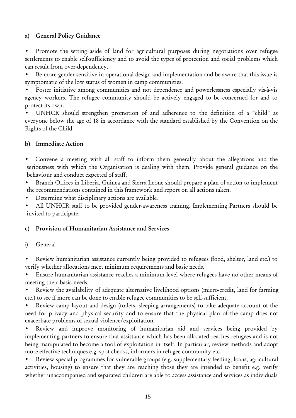## **a) General Policy Guidance**

• Promote the setting aside of land for agricultural purposes during negotiations over refugee settlements to enable self-sufficiency and to avoid the types of protection and social problems which can result from over-dependency.

• Be more gender-sensitive in operational design and implementation and be aware that this issue is symptomatic of the low status of women in camp communities.

• Foster initiative among communities and not dependence and powerlessness especially vis-à-vis agency workers. The refugee community should be actively engaged to be concerned for and to protect its own.

• UNHCR should strengthen promotion of and adherence to the definition of a "child" as everyone below the age of 18 in accordance with the standard established by the Convention on the Rights of the Child.

### **b) Immediate Action**

• Convene a meeting with all staff to inform them generally about the allegations and the seriousness with which the Organisation is dealing with them. Provide general guidance on the behaviour and conduct expected of staff.

• Branch Offices in Liberia, Guinea and Sierra Leone should prepare a plan of action to implement the recommendations contained in this framework and report on all actions taken.

• Determine what disciplinary actions are available.

• All UNHCR staff to be provided gender-awareness training. Implementing Partners should be invited to participate.

#### **c) Provision of Humanitarian Assistance and Services**

#### i) General

• Review humanitarian assistance currently being provided to refugees (food, shelter, land etc.) to verify whether allocations meet minimum requirements and basic needs.

• Ensure humanitarian assistance reaches a minimum level where refugees have no other means of meeting their basic needs.

Review the availability of adequate alternative livelihood options (micro-credit, land for farming etc.) to see if more can be done to enable refugee communities to be self-sufficient.

• Review camp layout and design (toilets, sleeping arrangements) to take adequate account of the need for privacy and physical security and to ensure that the physical plan of the camp does not exacerbate problems of sexual violence/exploitation.

Review and improve monitoring of humanitarian aid and services being provided by implementing partners to ensure that assistance which has been allocated reaches refugees and is not being manipulated to become a tool of exploitation in itself. In particular, review methods and adopt more effective techniques e.g. spot checks, informers in refugee community etc.

• Review special programmes for vulnerable groups (e.g. supplementary feeding, loans, agricultural activities, housing) to ensure that they are reaching those they are intended to benefit e.g. verify whether unaccompanied and separated children are able to access assistance and services as individuals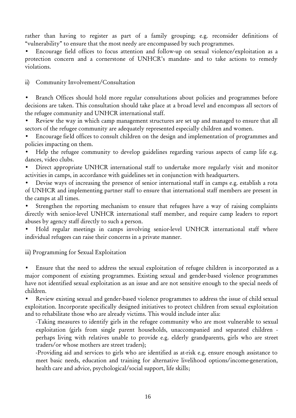rather than having to register as part of a family grouping; e.g. reconsider definitions of "vulnerability" to ensure that the most needy are encompassed by such programmes.

• Encourage field offices to focus attention and follow-up on sexual violence/exploitation as a protection concern and a cornerstone of UNHCR's mandate- and to take actions to remedy violations.

ii) Community Involvement/Consultation

Branch Offices should hold more regular consultations about policies and programmes before decisions are taken. This consultation should take place at a broad level and encompass all sectors of the refugee community and UNHCR international staff.

Review the way in which camp management structures are set up and managed to ensure that all sectors of the refugee community are adequately represented especially children and women.

• Encourage field offices to consult children on the design and implementation of programmes and policies impacting on them.

Help the refugee community to develop guidelines regarding various aspects of camp life e.g. dances, video clubs.

• Direct appropriate UNHCR international staff to undertake more regularly visit and monitor activities in camps, in accordance with guidelines set in conjunction with headquarters.

• Devise ways of increasing the presence of senior international staff in camps e.g. establish a rota of UNHCR and implementing partner staff to ensure that international staff members are present in the camps at all times.

Strengthen the reporting mechanism to ensure that refugees have a way of raising complaints directly with senior-level UNHCR international staff member, and require camp leaders to report abuses by agency staff directly to such a person.

Hold regular meetings in camps involving senior-level UNHCR international staff where individual refugees can raise their concerns in a private manner.

iii) Programming for Sexual Exploitation

Ensure that the need to address the sexual exploitation of refugee children is incorporated as a major component of existing programmes. Existing sexual and gender-based violence programmes have not identified sexual exploitation as an issue and are not sensitive enough to the special needs of children.

• Review existing sexual and gender-based violence programmes to address the issue of child sexual exploitation. Incorporate specifically designed initiatives to protect children from sexual exploitation and to rehabilitate those who are already victims. This would include inter alia:

-Taking measures to identify girls in the refugee community who are most vulnerable to sexual exploitation (girls from single parent households, unaccompanied and separated children perhaps living with relatives unable to provide e.g. elderly grandparents, girls who are street traders/or whose mothers are street traders);

-Providing aid and services to girls who are identified as at-risk e.g. ensure enough assistance to meet basic needs, education and training for alternative livelihood options/income-generation, health care and advice, psychological/social support, life skills;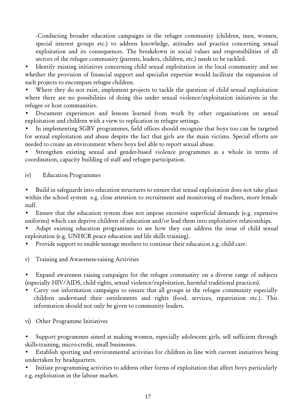-Conducting broader education campaigns in the refugee community (children, men, women, special interest groups etc.) to address knowledge, attitudes and practice concerning sexual exploitation and its consequences. The breakdown in social values and responsibilities of all sectors of the refugee community (parents, leaders, children, etc.) needs to be tackled.

Identify existing initiatives concerning child sexual exploitation in the local community and see whether the provision of financial support and specialist expertise would facilitate the expansion of such projects to encompass refugee children.

Where they do not exist, implement projects to tackle the question of child sexual exploitation where there are no possibilities of doing this under sexual violence/exploitation initiatives in the refugee or host communities.

• Document experiences and lessons learned from work by other organisations on sexual exploitation and children with a view to replication in refugee settings.

In implementing SGBV programmes, field offices should recognise that boys too can be targeted for sexual exploitation and abuse despite the fact that girls are the main victims. Special efforts are needed to create an environment where boys feel able to report sexual abuse.

Strengthen existing sexual and gender-based violence programmes as a whole in terms of coordination, capacity building of staff and refugee participation.

iv) Education Programmes

• Build in safeguards into education structures to ensure that sexual exploitation does not take place within the school system e.g. close attention to recruitment and monitoring of teachers, more female staff.

Ensure that the education system does not impose excessive superficial demands (e.g. expensive uniforms) which can deprive children of education and/or lead them into exploitative relationships.

Adapt existing education programmes to see how they can address the issue of child sexual exploitation (e.g. UNHCR peace education and life skills training).

• Provide support to enable teenage mothers to continue their education e.g. child care.

v) Training and Awareness-raising Activities

Expand awareness raising campaigns for the refugee community on a diverse range of subjects (especially HIV/AIDS, child rights, sexual violence/exploitation, harmful traditional practices).

- Carry out information campaigns to ensure that all groups in the refugee community especially children understand their entitlements and rights (food, services, repatriation etc.). This information should not only be given to community leaders.
- vi) Other Programme Initiatives
- Support programmes aimed at making women, especially adolescent girls, self sufficient through skills-training, micro-credit, small businesses.

Establish sporting and environmental activities for children in line with current initiatives being undertaken by headquarters.

• Initiate programming activities to address other forms of exploitation that affect boys particularly e.g. exploitation in the labour market.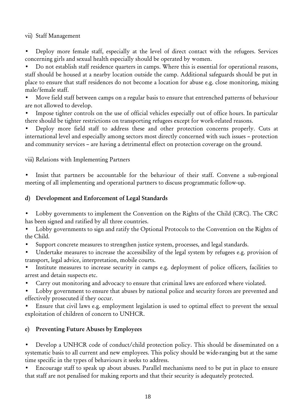vii) Staff Management

• Deploy more female staff, especially at the level of direct contact with the refugees. Services concerning girls and sexual health especially should be operated by women.

• Do not establish staff residence quarters in camps. Where this is essential for operational reasons, staff should be housed at a nearby location outside the camp. Additional safeguards should be put in place to ensure that staff residences do not become a location for abuse e.g. close monitoring, mixing male/female staff.

• Move field staff between camps on a regular basis to ensure that entrenched patterns of behaviour are not allowed to develop.

Impose tighter controls on the use of official vehicles especially out of office hours. In particular there should be tighter restrictions on transporting refugees except for work-related reasons.

• Deploy more field staff to address these and other protection concerns properly. Cuts at international level and especially among sectors most directly concerned with such issues – protection and community services – are having a detrimental effect on protection coverage on the ground.

viii) Relations with Implementing Partners

Insist that partners be accountable for the behaviour of their staff. Convene a sub-regional meeting of all implementing and operational partners to discuss programmatic follow-up.

## **d) Development and Enforcement of Legal Standards**

• Lobby governments to implement the Convention on the Rights of the Child (CRC). The CRC has been signed and ratified by all three countries.

Lobby governments to sign and ratify the Optional Protocols to the Convention on the Rights of the Child.

• Support concrete measures to strengthen justice system, processes, and legal standards.

• Undertake measures to increase the accessibility of the legal system by refugees e.g. provision of transport, legal advice, interpretation, mobile courts.

Institute measures to increase security in camps e.g. deployment of police officers, facilities to arrest and detain suspects etc.

• Carry out monitoring and advocacy to ensure that criminal laws are enforced where violated.

Lobby government to ensure that abuses by national police and security forces are prevented and effectively prosecuted if they occur.

Ensure that civil laws e.g. employment legislation is used to optimal effect to prevent the sexual exploitation of children of concern to UNHCR.

## **e) Preventing Future Abuses by Employees**

• Develop a UNHCR code of conduct/child protection policy. This should be disseminated on a systematic basis to all current and new employees. This policy should be wide-ranging but at the same time specific in the types of behaviours it seeks to address.

• Encourage staff to speak up about abuses. Parallel mechanisms need to be put in place to ensure that staff are not penalised for making reports and that their security is adequately protected.